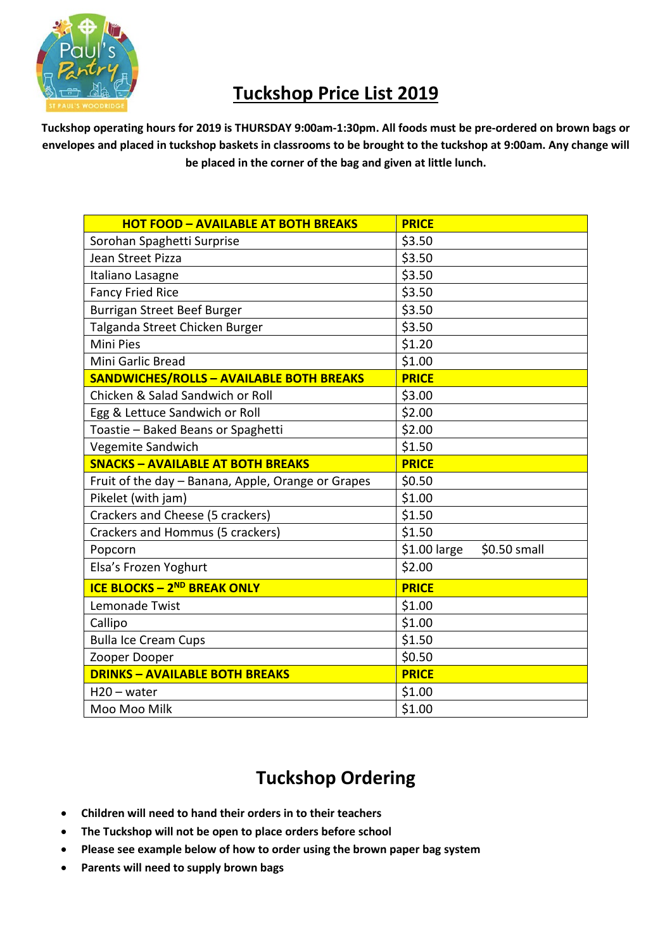

## **Tuckshop Price List 2019**

**Tuckshop operating hours for 2019 is THURSDAY 9:00am-1:30pm. All foods must be pre-ordered on brown bags or envelopes and placed in tuckshop baskets in classrooms to be brought to the tuckshop at 9:00am. Any change will be placed in the corner of the bag and given at little lunch.**

| <b>HOT FOOD - AVAILABLE AT BOTH BREAKS</b>         | <b>PRICE</b>                  |
|----------------------------------------------------|-------------------------------|
| Sorohan Spaghetti Surprise                         | \$3.50                        |
| Jean Street Pizza                                  | \$3.50                        |
| Italiano Lasagne                                   | \$3.50                        |
| <b>Fancy Fried Rice</b>                            | \$3.50                        |
| Burrigan Street Beef Burger                        | \$3.50                        |
| Talganda Street Chicken Burger                     | \$3.50                        |
| <b>Mini Pies</b>                                   | \$1.20                        |
| Mini Garlic Bread                                  | \$1.00                        |
| <b>SANDWICHES/ROLLS - AVAILABLE BOTH BREAKS</b>    | <b>PRICE</b>                  |
| Chicken & Salad Sandwich or Roll                   | \$3.00                        |
| Egg & Lettuce Sandwich or Roll                     | \$2.00                        |
| Toastie - Baked Beans or Spaghetti                 | \$2.00                        |
| Vegemite Sandwich                                  | \$1.50                        |
| <b>SNACKS - AVAILABLE AT BOTH BREAKS</b>           | <b>PRICE</b>                  |
| Fruit of the day - Banana, Apple, Orange or Grapes | \$0.50                        |
| Pikelet (with jam)                                 | \$1.00                        |
| Crackers and Cheese (5 crackers)                   | \$1.50                        |
| Crackers and Hommus (5 crackers)                   | \$1.50                        |
| Popcorn                                            | $$1.00$ large<br>\$0.50 small |
| Elsa's Frozen Yoghurt                              | \$2.00                        |
| <b>ICE BLOCKS - 2ND BREAK ONLY</b>                 | <b>PRICE</b>                  |
| Lemonade Twist                                     | \$1.00                        |
| Callipo                                            | \$1.00                        |
| <b>Bulla Ice Cream Cups</b>                        | \$1.50                        |
| Zooper Dooper                                      | \$0.50                        |
| <b>DRINKS - AVAILABLE BOTH BREAKS</b>              | <b>PRICE</b>                  |
| $H20 - water$                                      | \$1.00                        |
| Moo Moo Milk                                       | \$1.00                        |

## **Tuckshop Ordering**

- **Children will need to hand their orders in to their teachers**
- **The Tuckshop will not be open to place orders before school**
- **Please see example below of how to order using the brown paper bag system**
- **Parents will need to supply brown bags**